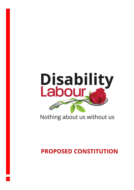

# Nothing about us without us

# **PROPOSED CONSTITUTION**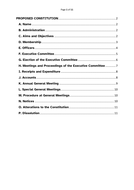| H. Meetings and Proceedings of the Executive Committee7 |  |
|---------------------------------------------------------|--|
|                                                         |  |
|                                                         |  |
|                                                         |  |
|                                                         |  |
|                                                         |  |
|                                                         |  |
|                                                         |  |
|                                                         |  |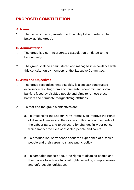# <span id="page-2-0"></span>**PROPOSED CONSTITUTION**

#### <span id="page-2-1"></span>**A. Name**

1. The name of the organisation is Disability Labour, referred to below as 'the group'.

#### <span id="page-2-2"></span>**B. Administration**

- 1. The group is a non-incorporated association affiliated to the Labour party.
- 2. The group shall be administered and managed in accordance with this constitution by members of the Executive Committee.

#### <span id="page-2-3"></span>**C. Aims and Objectives**

- 1. The group recognises that disability is a socially constructed experience resulting from environmental, economic and social barriers faced by disabled people and aims to remove those barriers and eliminate marginalising attitudes.
- 2. To that end the group's objectives are:
	- a. To influencing the Labour Party internally to improve the rights of disabled people and their carers both inside and outside of the Labour party and to advocate for changes in wider policy which impact the lives of disabled people and carers.
	- b. To produce robust evidence about the experience of disabled people and their carers to shape public policy.
	- c. To campaign publicly about the rights of disabled people and their carers to achieve full civil rights including comprehensive and enforceable legislation.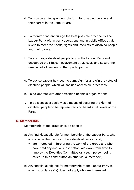- d. To provide an independent platform for disabled people and their carers in the Labour Party
- e. To monitor and encourage the best possible practice by The Labour Party within party operations and in public office at all levels to meet the needs, rights and interests of disabled people and their carers.
- f. To encourage disabled people to join the Labour Party and encourage their fullest involvement at all levels and secure the removal of all barriers to their participation.
- g. To advise Labour how best to campaign for and win the votes of disabled people, which will include accessible processes.
- h. To co-operate with other disabled people's organisations.
- i. To be a socialist society as a means of securing the right of disabled people to be represented and heard at all levels of the Party.

# <span id="page-3-0"></span>**D. Membership**

- 1. Membership of the group shall be open to:
	- a) Any individual eligible for membership of the Labour Party who:
		- consider themselves to be a disabled person, and,
		- are interested in furthering the work of the group and who have paid any annual subscription laid down from time to time by the Executive Committee (any such person being called in this constitution an "Individual member")
	- b) Any individual eligible for membership of the Labour Party to whom sub-clause (1a) does not apply who are interested in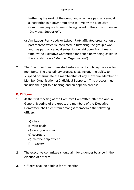furthering the work of the group and who have paid any annual subscription laid down from time to time by the Executive Committee (any such person being called in this constitution an "Individual Supporter").

- c) Any Labour Party body or Labour Party affiliated organisation or part thereof which is interested in furthering the group's work and has paid any annual subscription laid down from time to time by the Executive Committee (any such body being called in this constitution a "Member Organisation")
- 2. The Executive Committee shall establish a disciplinary process for members. The disciplinary process shall include the ability to suspend or terminate the membership of any Individual Member or Member Organisation or Individual Supporter. This process must include the right to a hearing and an appeals process.

# <span id="page-4-0"></span>**E. Officers**

- 1. At the first meeting of the Executive Committee after the Annual General Meeting of the group, the members of the Executive Committee shall elect from amongst themselves the following officers:
	- a) chair
	- b) vice-chair
	- c) deputy vice chair
	- d) secretary
	- e) membership officer
	- f) treasurer
- 2. The executive committee should aim for a gender balance in the election of officers.
- 3. Officers shall be eligible for re-election.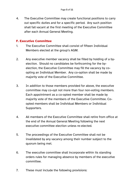4. The Executive Committee may create functional positions to carry out specific duties and for a specific period. Any such position shall fall vacant at the first meeting of the Executive Committee after each Annual General Meeting.

#### <span id="page-5-0"></span>**F. Executive Committee**

- 1. The Executive Committee shall consist of fifteen Individual Members elected at the group's AGM.
- 2. Any executive member vacancy shall be filled by holding of a byelection. Should no candidates be forthcoming for the byelection, the Executive Committee may fill the vacancy by coopting an Individual Member. Any co-option shall be made by majority vote of the Executive Committee.
- 3. In addition to those members provided for above, the executive committee may co-opt not more than four non-voting members. Each appointment as a co-opted member shall be made by majority vote of the members of the Executive Committee. Coopted members shall be Individual Members or Individual Supporters.
- 4. All members of the Executive Committee shall retire from office at the end of the Annual General Meeting following the next executive committee election unless re-elected.
- 5. The proceedings of the Executive Committee shall not be invalidated by any vacancy among their number subject to the quorum being met.
- 6. The executive committee shall incorporate within its standing orders rules for managing absence by members of the executive committee.
- 7. These must include the following provisions: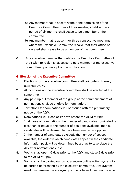- a) Any member that is absent without the permission of the Executive Committee from all their meetings held within a period of six months shall cease to be a member of the committee
- b) Any member that is absent for three consecutive meetings where the Executive Committee resolve that their office be vacated shall cease to be a member of the committee
- 8. Any executive member that notifies the Executive Committee of their wish to resign shall cease to be a member of the executive committee upon receipt of the notification.

# <span id="page-6-0"></span>**G. Election of the Executive Committee**

- 1. Elections for the executive committee shall coincide with every alternate AGM.
- 2. All positions on the executive committee shall be elected at the same time.
- 3. Any paid-up full member of the group at the commencement of nominations shall be eligible for nomination.
- 4. Invitations for nominations will be issued with the preliminary notice of the AGM.
- 5. Nominations will close at 19 days before the AGM at 6pm.
- 6. If at close of nominations, the number of candidates nominated is less than or equal to the number of positions available, then all candidates will be deemed to have been elected unopposed.
- 7. If the number of candidates exceeds the number of spaces available, the order in which candidates appear in the candidate information pack will be determined by a draw to take place the day after nominations close.
- 8. Voting shall open 16 days prior to the AGM and close 2 days prior to the AGM at 6pm.
- 9. Voting shall be carried out using a secure online voting system to be agreed beforehand by the executive committee. Any system used must ensure the anonymity of the vote and must not be able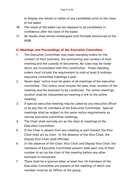to display any results or tallies of any candidates prior to the close of the ballot.

- 10. The result of the ballot can be released to all candidates in confidence after the close of the ballot.
- 11. All results shall remain embargoed until formally announced at the AGM.

#### <span id="page-7-0"></span>**H. Meetings and Proceedings of the Executive Committee**

- 1. The Executive Committee may make standing orders for the conduct of their business, the summoning and conduct of their meeting and the custody of documents. No rules may be made which are inconsistent with this constitution. These standing orders must include the requirement to hold at least 8 ordinary executive committee meetings a year.
- 2. Seven days' notice must be given of all meetings of the executive committee. This notice must include the date, time, location of the meeting and the business to be conducted. For online meetings, location shall be interpreted as meaning a link to the online meeting.
- 3. A special executive meeting may be called by any executive officer or by any five (5) members of the Executive Committee. Special meetings shall be subject to the same notice requirements as normal executive committee meetings.
- 4. The Chair shall normally act as the chair at meetings of the Executive Committee.
- 5. If the Chair is absent from any meeting or part thereof, the Vice Chair shall act as chair. In the absence of the Vice-Chair, the Deputy Vice Chair shall officiate.
- 6. In the absence of the Chair, Vice Chair and Deputy Vice Chair, the members of Executive Committee present shall elect one of their number to act as the chair of the meeting before any other business is transacted.
- 7. There shall be a quorum when at least four (4) members of the Executive Committee are present at the meeting, of which one member must be an Officer of the group.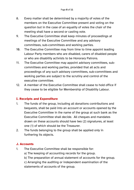- 8. Every matter shall be determined by a majority of votes of the members on the Executive Committee present and voting on the question but in the case of an equality of votes the chair of the meeting shall have a second or casting vote.
- 9. The Executive Committee shall keep minutes of proceedings at meetings of the Executive Committee and any advisory committees, sub-committees and working parties.
- 10. The Executive Committee may from time to time appoint leading Labour Party members who are disabled, carers of disabled people or who are disability activists to be Honorary Patrons.
- 11. The Executive Committee may appoint advisory committees, subcommittees and working parties, provided that all acts and proceedings of any such advisory committees, sub-committees and working parties are subject to the scrutiny and control of the executive committee.
- 12. A member of the Executive Committee shall cease to hold office if they cease to be eligible for Membership of Disability Labour.

# <span id="page-8-0"></span>**I. Receipts and Expenditure**

- 1. The funds of the group, including all donations contributions and bequests, shall be paid into an account or accounts opened by the Executive Committee in the name of the group at such bank as the Executive Committee shall decide. All cheques and mandates drawn on these accounts should have two (2) signatures, at least one (1) of which should be the Treasurer.
- 2. The funds belonging to the group shall be applied only in furthering its objects.

# <span id="page-8-1"></span>**J. Accounts**

- 1. The Executive Committee shall be responsible for:
	- a) The keeping of accounting records for the group.
	- b) The preparation of annual statement of accounts for the group.
	- c) Arranging the auditing or independent examination of the statements of accounts of the group.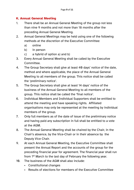# <span id="page-9-0"></span>**K. Annual General Meeting**

- 1. There shall be an Annual General Meeting of the group not less than nine 9 months and not more than 18 months after the preceding Annual General Meeting.
- 2. Annual General Meetings may be held using one of the following methods at the discretion of the Executive Committee:
	- a) online
	- b) in person
	- c) a hybrid of option a) and b)
- 3. Every Annual General Meeting shall be called by the Executive Committee.
- 4. The Group Secretary shall give at least 40 days' notice of the date, method and where applicable, the place of the Annual General Meeting to all members of the group. This notice shall be called the 'preliminary notice'.
- 5. The Group Secretary shall give at least 14 days' notice of the business of the Annual General Meeting to all members of the group. This notice shall be called the 'final notice'.
- 6. Individual Members and Individual Supporters shall be entitled to attend the meeting and have speaking rights. Affiliated organisations may only be represented at the meeting by individual members of the group.
- 7. Only full members as of the date of issue of the preliminary notice and having paid any subscription in full shall be entitled to a vote at the AGM.
- 8. The Annual General Meeting shall be chaired by the Chair, in the Chair's absence, by the Vice-Chair or in their absence by the Deputy Vice Chair.
- 9. At each Annual General Meeting, the Executive Committee shall present the Annual Report and the accounts of the group for the preceding financial year for agreement. The financial year shall run from 1<sup>st</sup> March to the last day of February the following year.
- 10. The business of the AGM shall also include:
	- Constitutional changes
	- Results of elections for members of the Executive Committee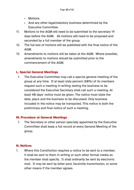- Motions
- And any other legal/statutory business determined by the Executive Committee.
- 11. Motions to the AGM will need to be submitted to the secretary 19 days before the AGM. All motions will need to be proposed and seconded by a full member of the group.
- 12. The full text of motions will be published with the final notice of the AGM.
- 13. Amendments to motions will be taken at the AGM. Where possible, amendments to motions should be submitted prior to the commencement of the AGM.

# <span id="page-10-0"></span>**L. Special General Meetings**

1. The Executive Committee may call a special general meeting of the group at any time. If at least sixty percent (60%) of its members request such a meeting in writing stating the business to be considered the Executive Secretary shall call such a meeting. At least 40 days' notice must be given. The notice must state the date, place and the business to be discussed. Only business included in the notice may be transacted. This notice is both the preliminary and final notice of such a meeting.

#### <span id="page-10-1"></span>**M. Procedure at General Meetings**

1. The Secretary or other person specially appointed by the Executive Committee shall keep a full record at every General Meeting of the group.

# <span id="page-10-2"></span>**N. Notices**

1. Where this Constitution requires a notice to be sent to a member, it shall be sent to them in writing or such other format media as the member shall specify. It shall ordinarily be sent by electronic mail. It may be sent by letter post, facsimile transmission, or some other means if the member agrees.